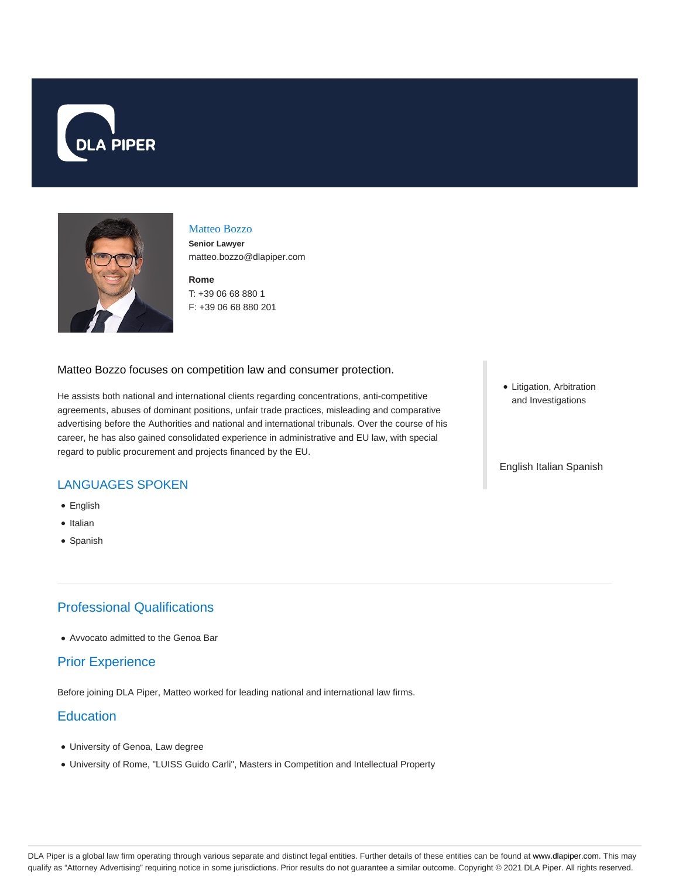



#### Matteo Bozzo

**Senior Lawyer** matteo.bozzo@dlapiper.com

**Rome** T: +39 06 68 880 1 F: +39 06 68 880 201

### Matteo Bozzo focuses on competition law and consumer protection.

He assists both national and international clients regarding concentrations, anti-competitive agreements, abuses of dominant positions, unfair trade practices, misleading and comparative advertising before the Authorities and national and international tribunals. Over the course of his career, he has also gained consolidated experience in administrative and EU law, with special regard to public procurement and projects financed by the EU.

# LANGUAGES SPOKEN

- English
- Italian
- Spanish

## Professional Qualifications

Avvocato admitted to the Genoa Bar

### Prior Experience

Before joining DLA Piper, Matteo worked for leading national and international law firms.

## **Education**

- University of Genoa, Law degree
- University of Rome, "LUISS Guido Carli", Masters in Competition and Intellectual Property

• Litigation, Arbitration and Investigations

#### English Italian Spanish

DLA Piper is a global law firm operating through various separate and distinct legal entities. Further details of these entities can be found at www.dlapiper.com. This may qualify as "Attorney Advertising" requiring notice in some jurisdictions. Prior results do not guarantee a similar outcome. Copyright © 2021 DLA Piper. All rights reserved.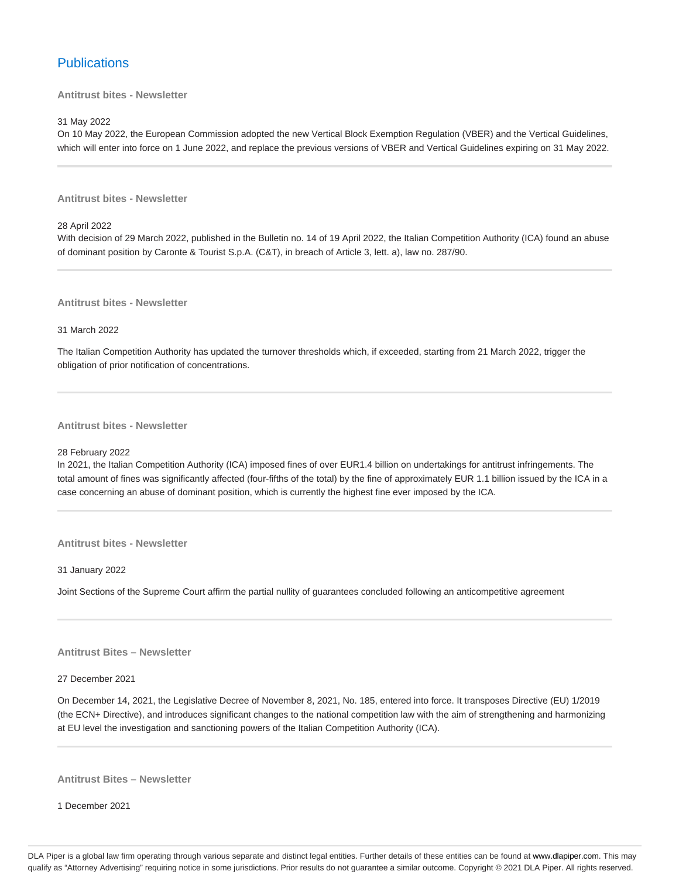## **Publications**

**Antitrust bites - Newsletter**

31 May 2022

On 10 May 2022, the European Commission adopted the new Vertical Block Exemption Regulation (VBER) and the Vertical Guidelines, which will enter into force on 1 June 2022, and replace the previous versions of VBER and Vertical Guidelines expiring on 31 May 2022.

**Antitrust bites - Newsletter**

28 April 2022

With decision of 29 March 2022, published in the Bulletin no. 14 of 19 April 2022, the Italian Competition Authority (ICA) found an abuse of dominant position by Caronte & Tourist S.p.A. (C&T), in breach of Article 3, lett. a), law no. 287/90.

**Antitrust bites - Newsletter**

31 March 2022

The Italian Competition Authority has updated the turnover thresholds which, if exceeded, starting from 21 March 2022, trigger the obligation of prior notification of concentrations.

**Antitrust bites - Newsletter**

#### 28 February 2022

In 2021, the Italian Competition Authority (ICA) imposed fines of over EUR1.4 billion on undertakings for antitrust infringements. The total amount of fines was significantly affected (four-fifths of the total) by the fine of approximately EUR 1.1 billion issued by the ICA in a case concerning an abuse of dominant position, which is currently the highest fine ever imposed by the ICA.

**Antitrust bites - Newsletter**

31 January 2022

Joint Sections of the Supreme Court affirm the partial nullity of guarantees concluded following an anticompetitive agreement

**Antitrust Bites – Newsletter**

27 December 2021

On December 14, 2021, the Legislative Decree of November 8, 2021, No. 185, entered into force. It transposes Directive (EU) 1/2019 (the ECN+ Directive), and introduces significant changes to the national competition law with the aim of strengthening and harmonizing at EU level the investigation and sanctioning powers of the Italian Competition Authority (ICA).

**Antitrust Bites – Newsletter**

1 December 2021

DLA Piper is a global law firm operating through various separate and distinct legal entities. Further details of these entities can be found at www.dlapiper.com. This may qualify as "Attorney Advertising" requiring notice in some jurisdictions. Prior results do not guarantee a similar outcome. Copyright © 2021 DLA Piper. All rights reserved.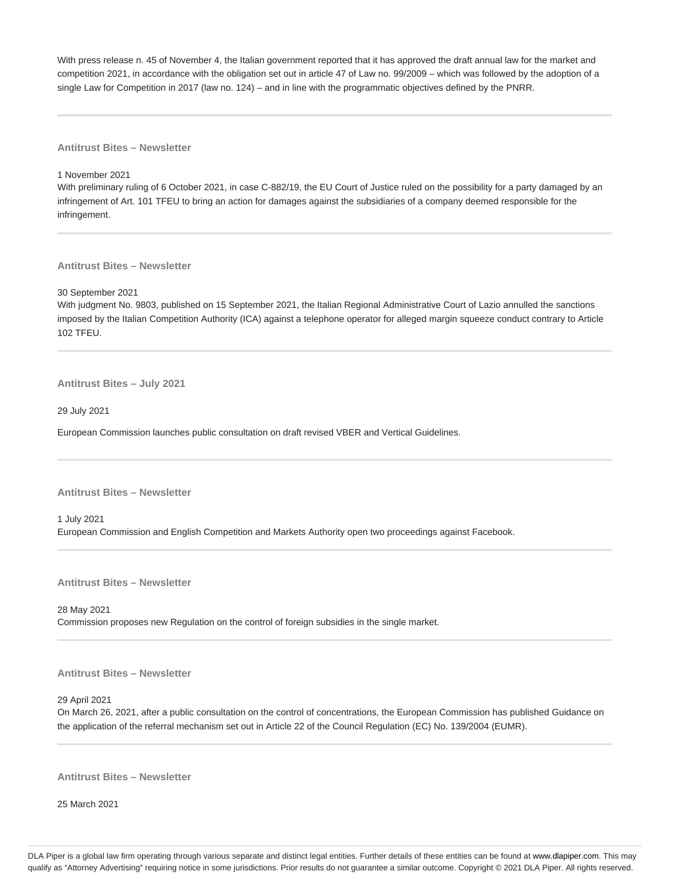With press release n. 45 of November 4, the Italian government reported that it has approved the draft annual law for the market and competition 2021, in accordance with the obligation set out in article 47 of Law no. 99/2009 – which was followed by the adoption of a single Law for Competition in 2017 (law no. 124) – and in line with the programmatic objectives defined by the PNRR.

**Antitrust Bites – Newsletter**

1 November 2021

With preliminary ruling of 6 October 2021, in case C-882/19, the EU Court of Justice ruled on the possibility for a party damaged by an infringement of Art. 101 TFEU to bring an action for damages against the subsidiaries of a company deemed responsible for the infringement.

**Antitrust Bites – Newsletter**

30 September 2021

With judgment No. 9803, published on 15 September 2021, the Italian Regional Administrative Court of Lazio annulled the sanctions imposed by the Italian Competition Authority (ICA) against a telephone operator for alleged margin squeeze conduct contrary to Article 102 TFEU.

**Antitrust Bites – July 2021**

29 July 2021

European Commission launches public consultation on draft revised VBER and Vertical Guidelines.

**Antitrust Bites – Newsletter**

1 July 2021 European Commission and English Competition and Markets Authority open two proceedings against Facebook.

**Antitrust Bites – Newsletter**

28 May 2021 Commission proposes new Regulation on the control of foreign subsidies in the single market.

**Antitrust Bites – Newsletter**

29 April 2021

On March 26, 2021, after a public consultation on the control of concentrations, the European Commission has published Guidance on the application of the referral mechanism set out in Article 22 of the Council Regulation (EC) No. 139/2004 (EUMR).

**Antitrust Bites – Newsletter**

25 March 2021

DLA Piper is a global law firm operating through various separate and distinct legal entities. Further details of these entities can be found at www.dlapiper.com. This may qualify as "Attorney Advertising" requiring notice in some jurisdictions. Prior results do not guarantee a similar outcome. Copyright @ 2021 DLA Piper. All rights reserved.